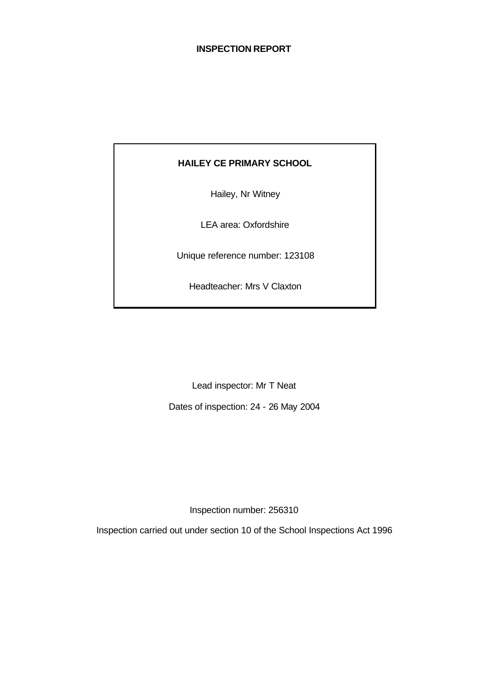#### **INSPECTION REPORT**

# **HAILEY CE PRIMARY SCHOOL**

Hailey, Nr Witney

LEA area: Oxfordshire

Unique reference number: 123108

Headteacher: Mrs V Claxton

Lead inspector: Mr T Neat

Dates of inspection: 24 - 26 May 2004

Inspection number: 256310

Inspection carried out under section 10 of the School Inspections Act 1996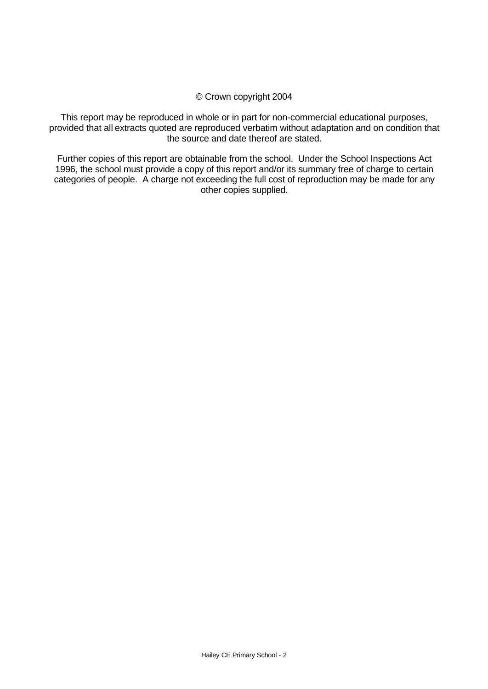#### © Crown copyright 2004

This report may be reproduced in whole or in part for non-commercial educational purposes, provided that all extracts quoted are reproduced verbatim without adaptation and on condition that the source and date thereof are stated.

Further copies of this report are obtainable from the school. Under the School Inspections Act 1996, the school must provide a copy of this report and/or its summary free of charge to certain categories of people. A charge not exceeding the full cost of reproduction may be made for any other copies supplied.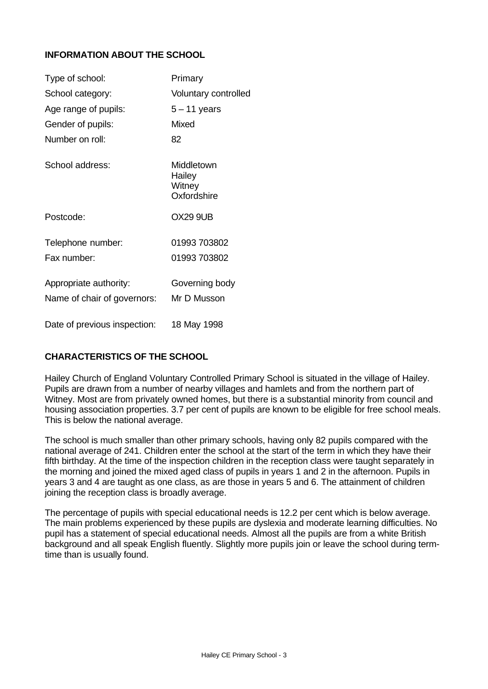# **INFORMATION ABOUT THE SCHOOL**

| Type of school:              | Primary                                       |
|------------------------------|-----------------------------------------------|
| School category:             | <b>Voluntary controlled</b>                   |
| Age range of pupils:         | $5 - 11$ years                                |
| Gender of pupils:            | Mixed                                         |
| Number on roll:              | 82                                            |
| School address:              | Middletown<br>Hailey<br>Witney<br>Oxfordshire |
| Postcode:                    | <b>OX29 9UB</b>                               |
| Telephone number:            | 01993 703802                                  |
| Fax number:                  | 01993 703802                                  |
| Appropriate authority:       | Governing body                                |
| Name of chair of governors:  | Mr D Musson                                   |
| Date of previous inspection: | 18 May 1998                                   |

# **CHARACTERISTICS OF THE SCHOOL**

Hailey Church of England Voluntary Controlled Primary School is situated in the village of Hailey. Pupils are drawn from a number of nearby villages and hamlets and from the northern part of Witney. Most are from privately owned homes, but there is a substantial minority from council and housing association properties. 3.7 per cent of pupils are known to be eligible for free school meals. This is below the national average.

The school is much smaller than other primary schools, having only 82 pupils compared with the national average of 241. Children enter the school at the start of the term in which they have their fifth birthday. At the time of the inspection children in the reception class were taught separately in the morning and joined the mixed aged class of pupils in years 1 and 2 in the afternoon. Pupils in years 3 and 4 are taught as one class, as are those in years 5 and 6. The attainment of children joining the reception class is broadly average.

The percentage of pupils with special educational needs is 12.2 per cent which is below average. The main problems experienced by these pupils are dyslexia and moderate learning difficulties. No pupil has a statement of special educational needs. Almost all the pupils are from a white British background and all speak English fluently. Slightly more pupils join or leave the school during termtime than is usually found.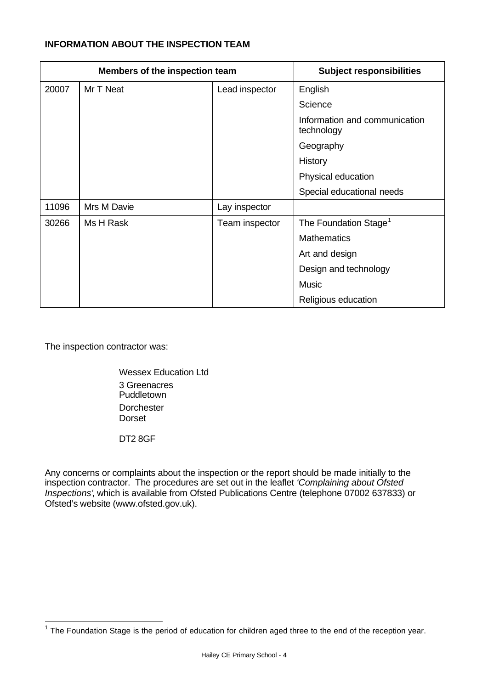### **INFORMATION ABOUT THE INSPECTION TEAM**

| Members of the inspection team |             |                | <b>Subject responsibilities</b>             |
|--------------------------------|-------------|----------------|---------------------------------------------|
| 20007                          | Mr T Neat   | Lead inspector | English                                     |
|                                |             |                | Science                                     |
|                                |             |                | Information and communication<br>technology |
|                                |             |                | Geography                                   |
|                                |             |                | History                                     |
|                                |             |                | Physical education                          |
|                                |             |                | Special educational needs                   |
| 11096                          | Mrs M Davie | Lay inspector  |                                             |
| 30266                          | Ms H Rask   | Team inspector | The Foundation Stage <sup>1</sup>           |
|                                |             |                | <b>Mathematics</b>                          |
|                                |             |                | Art and design                              |
|                                |             |                | Design and technology                       |
|                                |             |                | <b>Music</b>                                |
|                                |             |                | Religious education                         |

The inspection contractor was:

Wessex Education Ltd 3 Greenacres Puddletown **Dorchester Dorset** 

DT2 8GF

Any concerns or complaints about the inspection or the report should be made initially to the inspection contractor. The procedures are set out in the leaflet *'Complaining about Ofsted Inspections'*, which is available from Ofsted Publications Centre (telephone 07002 637833) or Ofsted's website (www.ofsted.gov.uk).

The Foundation Stage is the period of education for children aged three to the end of the reception year.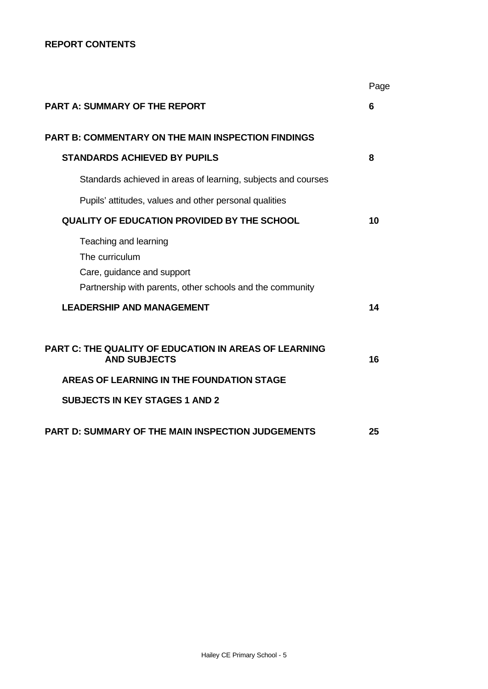## **REPORT CONTENTS**

|                                                                                                                                    | Page |
|------------------------------------------------------------------------------------------------------------------------------------|------|
| <b>PART A: SUMMARY OF THE REPORT</b>                                                                                               | 6    |
| <b>PART B: COMMENTARY ON THE MAIN INSPECTION FINDINGS</b>                                                                          |      |
| <b>STANDARDS ACHIEVED BY PUPILS</b>                                                                                                | 8    |
| Standards achieved in areas of learning, subjects and courses                                                                      |      |
| Pupils' attitudes, values and other personal qualities                                                                             |      |
| QUALITY OF EDUCATION PROVIDED BY THE SCHOOL                                                                                        | 10   |
| Teaching and learning<br>The curriculum<br>Care, guidance and support<br>Partnership with parents, other schools and the community |      |
| <b>LEADERSHIP AND MANAGEMENT</b>                                                                                                   | 14   |
| PART C: THE QUALITY OF EDUCATION IN AREAS OF LEARNING<br><b>AND SUBJECTS</b>                                                       | 16   |
| <b>AREAS OF LEARNING IN THE FOUNDATION STAGE</b>                                                                                   |      |
| <b>SUBJECTS IN KEY STAGES 1 AND 2</b>                                                                                              |      |
| <b>PART D: SUMMARY OF THE MAIN INSPECTION JUDGEMENTS</b>                                                                           | 25   |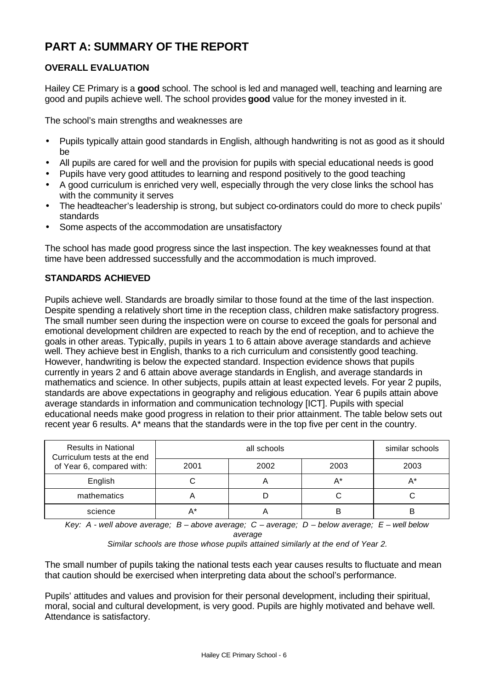# **PART A: SUMMARY OF THE REPORT**

# **OVERALL EVALUATION**

Hailey CE Primary is a **good** school. The school is led and managed well, teaching and learning are good and pupils achieve well. The school provides **good** value for the money invested in it.

The school's main strengths and weaknesses are

- Pupils typically attain good standards in English, although handwriting is not as good as it should be
- All pupils are cared for well and the provision for pupils with special educational needs is good
- Pupils have very good attitudes to learning and respond positively to the good teaching
- A good curriculum is enriched very well, especially through the very close links the school has with the community it serves
- The headteacher's leadership is strong, but subject co-ordinators could do more to check pupils' standards
- Some aspects of the accommodation are unsatisfactory

The school has made good progress since the last inspection. The key weaknesses found at that time have been addressed successfully and the accommodation is much improved.

# **STANDARDS ACHIEVED**

Pupils achieve well. Standards are broadly similar to those found at the time of the last inspection. Despite spending a relatively short time in the reception class, children make satisfactory progress. The small number seen during the inspection were on course to exceed the goals for personal and emotional development children are expected to reach by the end of reception, and to achieve the goals in other areas. Typically, pupils in years 1 to 6 attain above average standards and achieve well. They achieve best in English, thanks to a rich curriculum and consistently good teaching. However, handwriting is below the expected standard. Inspection evidence shows that pupils currently in years 2 and 6 attain above average standards in English, and average standards in mathematics and science. In other subjects, pupils attain at least expected levels. For year 2 pupils, standards are above expectations in geography and religious education. Year 6 pupils attain above average standards in information and communication technology [ICT]. Pupils with special educational needs make good progress in relation to their prior attainment. The table below sets out recent year 6 results. A\* means that the standards were in the top five per cent in the country.

| <b>Results in National</b><br>Curriculum tests at the end<br>of Year 6, compared with: |      | similar schools |       |      |
|----------------------------------------------------------------------------------------|------|-----------------|-------|------|
|                                                                                        | 2001 | 2002            | 2003  | 2003 |
| English                                                                                |      | ◠               | $A^*$ | A*   |
| mathematics                                                                            |      |                 |       |      |
| science                                                                                |      |                 | В     |      |

*Key: A - well above average; B – above average; C – average; D – below average; E – well below average*

*Similar schools are those whose pupils attained similarly at the end of Year 2.*

The small number of pupils taking the national tests each year causes results to fluctuate and mean that caution should be exercised when interpreting data about the school's performance.

Pupils' attitudes and values and provision for their personal development, including their spiritual, moral, social and cultural development, is very good. Pupils are highly motivated and behave well. Attendance is satisfactory.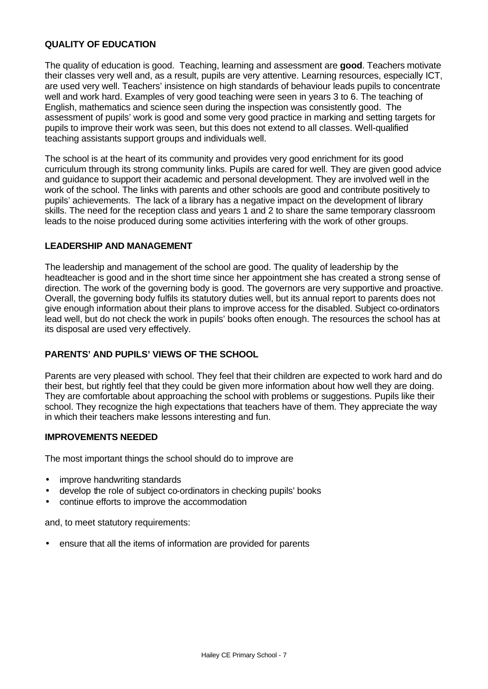#### **QUALITY OF EDUCATION**

The quality of education is good. Teaching, learning and assessment are **good**. Teachers motivate their classes very well and, as a result, pupils are very attentive. Learning resources, especially ICT, are used very well. Teachers' insistence on high standards of behaviour leads pupils to concentrate well and work hard. Examples of very good teaching were seen in years 3 to 6. The teaching of English, mathematics and science seen during the inspection was consistently good. The assessment of pupils' work is good and some very good practice in marking and setting targets for pupils to improve their work was seen, but this does not extend to all classes. Well-qualified teaching assistants support groups and individuals well.

The school is at the heart of its community and provides very good enrichment for its good curriculum through its strong community links. Pupils are cared for well. They are given good advice and guidance to support their academic and personal development. They are involved well in the work of the school. The links with parents and other schools are good and contribute positively to pupils' achievements. The lack of a library has a negative impact on the development of library skills. The need for the reception class and years 1 and 2 to share the same temporary classroom leads to the noise produced during some activities interfering with the work of other groups.

#### **LEADERSHIP AND MANAGEMENT**

The leadership and management of the school are good. The quality of leadership by the headteacher is good and in the short time since her appointment she has created a strong sense of direction. The work of the governing body is good. The governors are very supportive and proactive. Overall, the governing body fulfils its statutory duties well, but its annual report to parents does not give enough information about their plans to improve access for the disabled. Subject co-ordinators lead well, but do not check the work in pupils' books often enough. The resources the school has at its disposal are used very effectively.

# **PARENTS' AND PUPILS' VIEWS OF THE SCHOOL**

Parents are very pleased with school. They feel that their children are expected to work hard and do their best, but rightly feel that they could be given more information about how well they are doing. They are comfortable about approaching the school with problems or suggestions. Pupils like their school. They recognize the high expectations that teachers have of them. They appreciate the way in which their teachers make lessons interesting and fun.

#### **IMPROVEMENTS NEEDED**

The most important things the school should do to improve are

- improve handwriting standards
- develop the role of subject co-ordinators in checking pupils' books
- continue efforts to improve the accommodation

and, to meet statutory requirements:

• ensure that all the items of information are provided for parents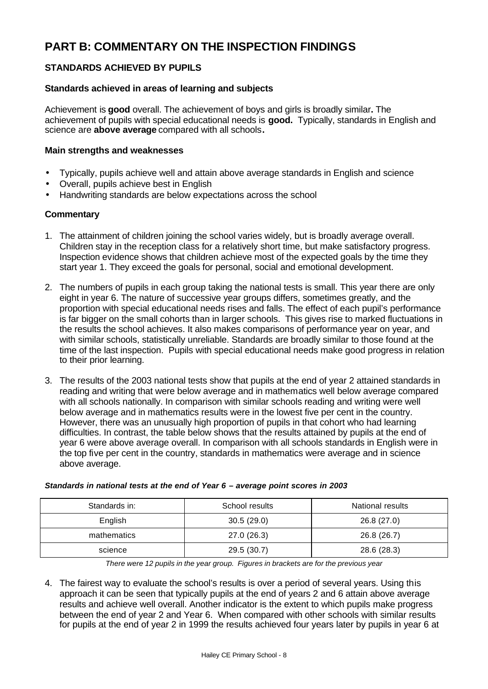# **PART B: COMMENTARY ON THE INSPECTION FINDINGS**

# **STANDARDS ACHIEVED BY PUPILS**

## **Standards achieved in areas of learning and subjects**

Achievement is **good** overall. The achievement of boys and girls is broadly similar**.** The achievement of pupils with special educational needs is **good.** Typically, standards in English and science are **above average** compared with all schools**.**

### **Main strengths and weaknesses**

- Typically, pupils achieve well and attain above average standards in English and science
- Overall, pupils achieve best in English
- Handwriting standards are below expectations across the school

## **Commentary**

- 1. The attainment of children joining the school varies widely, but is broadly average overall. Children stay in the reception class for a relatively short time, but make satisfactory progress. Inspection evidence shows that children achieve most of the expected goals by the time they start year 1. They exceed the goals for personal, social and emotional development.
- 2. The numbers of pupils in each group taking the national tests is small. This year there are only eight in year 6. The nature of successive year groups differs, sometimes greatly, and the proportion with special educational needs rises and falls. The effect of each pupil's performance is far bigger on the small cohorts than in larger schools. This gives rise to marked fluctuations in the results the school achieves. It also makes comparisons of performance year on year, and with similar schools, statistically unreliable. Standards are broadly similar to those found at the time of the last inspection. Pupils with special educational needs make good progress in relation to their prior learning.
- 3. The results of the 2003 national tests show that pupils at the end of year 2 attained standards in reading and writing that were below average and in mathematics well below average compared with all schools nationally. In comparison with similar schools reading and writing were well below average and in mathematics results were in the lowest five per cent in the country. However, there was an unusually high proportion of pupils in that cohort who had learning difficulties. In contrast, the table below shows that the results attained by pupils at the end of year 6 were above average overall. In comparison with all schools standards in English were in the top five per cent in the country, standards in mathematics were average and in science above average.

| Standards in: | School results | National results |  |  |
|---------------|----------------|------------------|--|--|
| English       | 30.5(29.0)     | 26.8 (27.0)      |  |  |
| mathematics   | 27.0 (26.3)    | 26.8 (26.7)      |  |  |
| science       | 29.5 (30.7)    | 28.6 (28.3)      |  |  |

#### *Standards in national tests at the end of Year 6 – average point scores in 2003*

*There were 12 pupils in the year group. Figures in brackets are for the previous year*

4. The fairest way to evaluate the school's results is over a period of several years. Using this approach it can be seen that typically pupils at the end of years 2 and 6 attain above average results and achieve well overall. Another indicator is the extent to which pupils make progress between the end of year 2 and Year 6. When compared with other schools with similar results for pupils at the end of year 2 in 1999 the results achieved four years later by pupils in year 6 at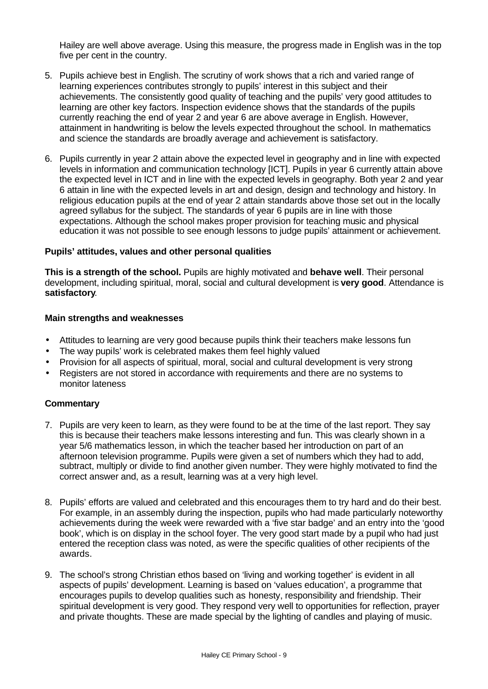Hailey are well above average. Using this measure, the progress made in English was in the top five per cent in the country.

- 5. Pupils achieve best in English. The scrutiny of work shows that a rich and varied range of learning experiences contributes strongly to pupils' interest in this subject and their achievements. The consistently good quality of teaching and the pupils' very good attitudes to learning are other key factors. Inspection evidence shows that the standards of the pupils currently reaching the end of year 2 and year 6 are above average in English. However, attainment in handwriting is below the levels expected throughout the school. In mathematics and science the standards are broadly average and achievement is satisfactory.
- 6. Pupils currently in year 2 attain above the expected level in geography and in line with expected levels in information and communication technology [ICT]. Pupils in year 6 currently attain above the expected level in ICT and in line with the expected levels in geography. Both year 2 and year 6 attain in line with the expected levels in art and design, design and technology and history. In religious education pupils at the end of year 2 attain standards above those set out in the locally agreed syllabus for the subject. The standards of year 6 pupils are in line with those expectations. Although the school makes proper provision for teaching music and physical education it was not possible to see enough lessons to judge pupils' attainment or achievement.

#### **Pupils' attitudes, values and other personal qualities**

**This is a strength of the school.** Pupils are highly motivated and **behave well**. Their personal development, including spiritual, moral, social and cultural development is **very good**. Attendance is **satisfactory**.

#### **Main strengths and weaknesses**

- Attitudes to learning are very good because pupils think their teachers make lessons fun
- The way pupils' work is celebrated makes them feel highly valued
- Provision for all aspects of spiritual, moral, social and cultural development is very strong
- Registers are not stored in accordance with requirements and there are no systems to monitor lateness

- 7. Pupils are very keen to learn, as they were found to be at the time of the last report. They say this is because their teachers make lessons interesting and fun. This was clearly shown in a year 5/6 mathematics lesson, in which the teacher based her introduction on part of an afternoon television programme. Pupils were given a set of numbers which they had to add, subtract, multiply or divide to find another given number. They were highly motivated to find the correct answer and, as a result, learning was at a very high level.
- 8. Pupils' efforts are valued and celebrated and this encourages them to try hard and do their best. For example, in an assembly during the inspection, pupils who had made particularly noteworthy achievements during the week were rewarded with a 'five star badge' and an entry into the 'good book', which is on display in the school foyer. The very good start made by a pupil who had just entered the reception class was noted, as were the specific qualities of other recipients of the awards.
- 9. The school's strong Christian ethos based on 'living and working together' is evident in all aspects of pupils' development. Learning is based on 'values education', a programme that encourages pupils to develop qualities such as honesty, responsibility and friendship. Their spiritual development is very good. They respond very well to opportunities for reflection, prayer and private thoughts. These are made special by the lighting of candles and playing of music.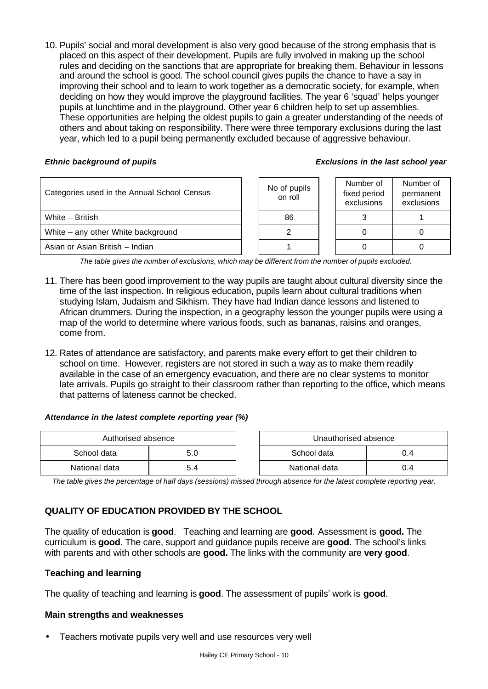10. Pupils' social and moral development is also very good because of the strong emphasis that is placed on this aspect of their development. Pupils are fully involved in making up the school rules and deciding on the sanctions that are appropriate for breaking them. Behaviour in lessons and around the school is good. The school council gives pupils the chance to have a say in improving their school and to learn to work together as a democratic society, for example, when deciding on how they would improve the playground facilities. The year 6 'squad' helps younger pupils at lunchtime and in the playground. Other year 6 children help to set up assemblies. These opportunities are helping the oldest pupils to gain a greater understanding of the needs of others and about taking on responsibility. There were three temporary exclusions during the last year, which led to a pupil being permanently excluded because of aggressive behaviour.

#### *Ethnic background of pupils Exclusions in the last school year*

| Categories used in the Annual School Census | No of pupils<br>on roll | Number of<br>fixed period<br>exclusions | Number of<br>permanent<br>exclusions |
|---------------------------------------------|-------------------------|-----------------------------------------|--------------------------------------|
| White - British                             | 86                      |                                         |                                      |
| White – any other White background          |                         |                                         |                                      |
| Asian or Asian British - Indian             |                         |                                         |                                      |

*The table gives the number of exclusions, which may be different from the number of pupils excluded.*

- 11. There has been good improvement to the way pupils are taught about cultural diversity since the time of the last inspection. In religious education, pupils learn about cultural traditions when studying Islam, Judaism and Sikhism. They have had Indian dance lessons and listened to African drummers. During the inspection, in a geography lesson the younger pupils were using a map of the world to determine where various foods, such as bananas, raisins and oranges, come from.
- 12. Rates of attendance are satisfactory, and parents make every effort to get their children to school on time. However, registers are not stored in such a way as to make them readily available in the case of an emergency evacuation, and there are no clear systems to monitor late arrivals. Pupils go straight to their classroom rather than reporting to the office, which means that patterns of lateness cannot be checked.

#### *Attendance in the latest complete reporting year (%)*

| Authorised absence |     |  | Unauthorised absence |     |
|--------------------|-----|--|----------------------|-----|
| School data        | 5.U |  | School data<br>0.4   |     |
| National data      | 5.4 |  | National data        | 0.4 |

*The table gives the percentage of half days (sessions) missed through absence for the latest complete reporting year.*

# **QUALITY OF EDUCATION PROVIDED BY THE SCHOOL**

The quality of education is **good**. Teaching and learning are **good**. Assessment is **good.** The curriculum is **good**. The care, support and guidance pupils receive are **good**. The school's links with parents and with other schools are **good.** The links with the community are **very good**.

#### **Teaching and learning**

The quality of teaching and learning is **good**. The assessment of pupils' work is **good**.

#### **Main strengths and weaknesses**

• Teachers motivate pupils very well and use resources very well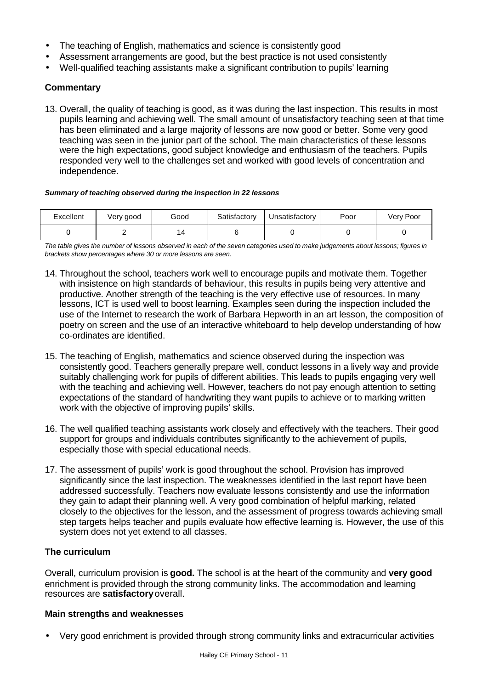- The teaching of English, mathematics and science is consistently good
- Assessment arrangements are good, but the best practice is not used consistently
- Well-qualified teaching assistants make a significant contribution to pupils' learning

13. Overall, the quality of teaching is good, as it was during the last inspection. This results in most pupils learning and achieving well. The small amount of unsatisfactory teaching seen at that time has been eliminated and a large majority of lessons are now good or better. Some very good teaching was seen in the junior part of the school. The main characteristics of these lessons were the high expectations, good subject knowledge and enthusiasm of the teachers. Pupils responded very well to the challenges set and worked with good levels of concentration and independence.

#### *Summary of teaching observed during the inspection in 22 lessons*

| Excellent | Very good | Good | Satisfactory | Jnsatisfactory | Poor | Very Poor |
|-----------|-----------|------|--------------|----------------|------|-----------|
|           |           |      |              |                |      |           |

*The table gives the number of lessons observed in each of the seven categories used to make judgements about lessons; figures in brackets show percentages where 30 or more lessons are seen.*

- 14. Throughout the school, teachers work well to encourage pupils and motivate them. Together with insistence on high standards of behaviour, this results in pupils being very attentive and productive. Another strength of the teaching is the very effective use of resources. In many lessons, ICT is used well to boost learning. Examples seen during the inspection included the use of the Internet to research the work of Barbara Hepworth in an art lesson, the composition of poetry on screen and the use of an interactive whiteboard to help develop understanding of how co-ordinates are identified.
- 15. The teaching of English, mathematics and science observed during the inspection was consistently good. Teachers generally prepare well, conduct lessons in a lively way and provide suitably challenging work for pupils of different abilities. This leads to pupils engaging very well with the teaching and achieving well. However, teachers do not pay enough attention to setting expectations of the standard of handwriting they want pupils to achieve or to marking written work with the objective of improving pupils' skills.
- 16. The well qualified teaching assistants work closely and effectively with the teachers. Their good support for groups and individuals contributes significantly to the achievement of pupils, especially those with special educational needs.
- 17. The assessment of pupils' work is good throughout the school. Provision has improved significantly since the last inspection. The weaknesses identified in the last report have been addressed successfully. Teachers now evaluate lessons consistently and use the information they gain to adapt their planning well. A very good combination of helpful marking, related closely to the objectives for the lesson, and the assessment of progress towards achieving small step targets helps teacher and pupils evaluate how effective learning is. However, the use of this system does not yet extend to all classes.

#### **The curriculum**

Overall, curriculum provision is **good.** The school is at the heart of the community and **very good** enrichment is provided through the strong community links. The accommodation and learning resources are **satisfactory** overall.

#### **Main strengths and weaknesses**

• Very good enrichment is provided through strong community links and extracurricular activities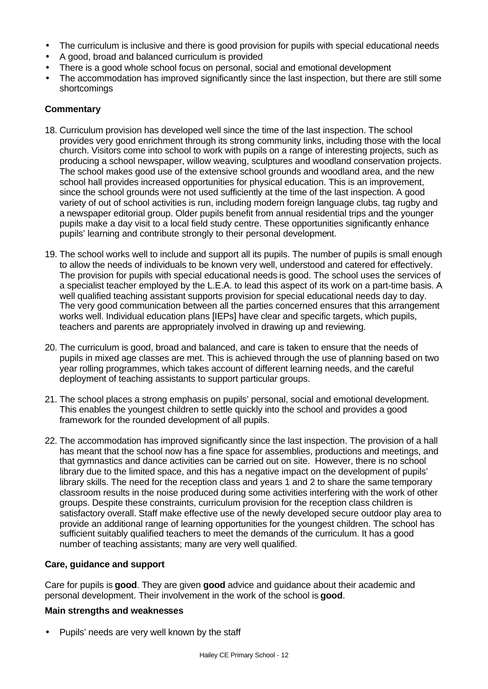- The curriculum is inclusive and there is good provision for pupils with special educational needs
- A good, broad and balanced curriculum is provided
- There is a good whole school focus on personal, social and emotional development
- The accommodation has improved significantly since the last inspection, but there are still some shortcomings

- 18. Curriculum provision has developed well since the time of the last inspection. The school provides very good enrichment through its strong community links, including those with the local church. Visitors come into school to work with pupils on a range of interesting projects, such as producing a school newspaper, willow weaving, sculptures and woodland conservation projects. The school makes good use of the extensive school grounds and woodland area, and the new school hall provides increased opportunities for physical education. This is an improvement, since the school grounds were not used sufficiently at the time of the last inspection. A good variety of out of school activities is run, including modern foreign language clubs, tag rugby and a newspaper editorial group. Older pupils benefit from annual residential trips and the younger pupils make a day visit to a local field study centre. These opportunities significantly enhance pupils' learning and contribute strongly to their personal development.
- 19. The school works well to include and support all its pupils. The number of pupils is small enough to allow the needs of individuals to be known very well, understood and catered for effectively. The provision for pupils with special educational needs is good. The school uses the services of a specialist teacher employed by the L.E.A. to lead this aspect of its work on a part-time basis. A well qualified teaching assistant supports provision for special educational needs day to day. The very good communication between all the parties concerned ensures that this arrangement works well. Individual education plans [IEPs] have clear and specific targets, which pupils, teachers and parents are appropriately involved in drawing up and reviewing.
- 20. The curriculum is good, broad and balanced, and care is taken to ensure that the needs of pupils in mixed age classes are met. This is achieved through the use of planning based on two year rolling programmes, which takes account of different learning needs, and the careful deployment of teaching assistants to support particular groups.
- 21. The school places a strong emphasis on pupils' personal, social and emotional development. This enables the youngest children to settle quickly into the school and provides a good framework for the rounded development of all pupils.
- 22. The accommodation has improved significantly since the last inspection. The provision of a hall has meant that the school now has a fine space for assemblies, productions and meetings, and that gymnastics and dance activities can be carried out on site. However, there is no school library due to the limited space, and this has a negative impact on the development of pupils' library skills. The need for the reception class and years 1 and 2 to share the same temporary classroom results in the noise produced during some activities interfering with the work of other groups. Despite these constraints, curriculum provision for the reception class children is satisfactory overall. Staff make effective use of the newly developed secure outdoor play area to provide an additional range of learning opportunities for the youngest children. The school has sufficient suitably qualified teachers to meet the demands of the curriculum. It has a good number of teaching assistants; many are very well qualified.

# **Care, guidance and support**

Care for pupils is **good**. They are given **good** advice and guidance about their academic and personal development. Their involvement in the work of the school is **good**.

# **Main strengths and weaknesses**

• Pupils' needs are very well known by the staff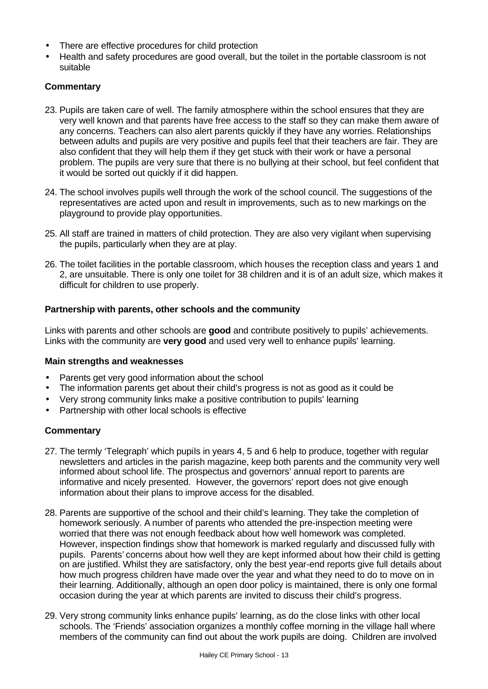- There are effective procedures for child protection
- Health and safety procedures are good overall, but the toilet in the portable classroom is not suitable

- 23. Pupils are taken care of well. The family atmosphere within the school ensures that they are very well known and that parents have free access to the staff so they can make them aware of any concerns. Teachers can also alert parents quickly if they have any worries. Relationships between adults and pupils are very positive and pupils feel that their teachers are fair. They are also confident that they will help them if they get stuck with their work or have a personal problem. The pupils are very sure that there is no bullying at their school, but feel confident that it would be sorted out quickly if it did happen.
- 24. The school involves pupils well through the work of the school council. The suggestions of the representatives are acted upon and result in improvements, such as to new markings on the playground to provide play opportunities.
- 25. All staff are trained in matters of child protection. They are also very vigilant when supervising the pupils, particularly when they are at play.
- 26. The toilet facilities in the portable classroom, which houses the reception class and years 1 and 2, are unsuitable. There is only one toilet for 38 children and it is of an adult size, which makes it difficult for children to use properly.

#### **Partnership with parents, other schools and the community**

Links with parents and other schools are **good** and contribute positively to pupils' achievements. Links with the community are **very good** and used very well to enhance pupils' learning.

#### **Main strengths and weaknesses**

- Parents get very good information about the school
- The information parents get about their child's progress is not as good as it could be
- Very strong community links make a positive contribution to pupils' learning
- Partnership with other local schools is effective

- 27. The termly 'Telegraph' which pupils in years 4, 5 and 6 help to produce, together with regular newsletters and articles in the parish magazine, keep both parents and the community very well informed about school life. The prospectus and governors' annual report to parents are informative and nicely presented. However, the governors' report does not give enough information about their plans to improve access for the disabled.
- 28. Parents are supportive of the school and their child's learning. They take the completion of homework seriously. A number of parents who attended the pre-inspection meeting were worried that there was not enough feedback about how well homework was completed. However, inspection findings show that homework is marked regularly and discussed fully with pupils. Parents' concerns about how well they are kept informed about how their child is getting on are justified. Whilst they are satisfactory, only the best year-end reports give full details about how much progress children have made over the year and what they need to do to move on in their learning. Additionally, although an open door policy is maintained, there is only one formal occasion during the year at which parents are invited to discuss their child's progress.
- 29. Very strong community links enhance pupils' learning, as do the close links with other local schools. The 'Friends' association organizes a monthly coffee morning in the village hall where members of the community can find out about the work pupils are doing. Children are involved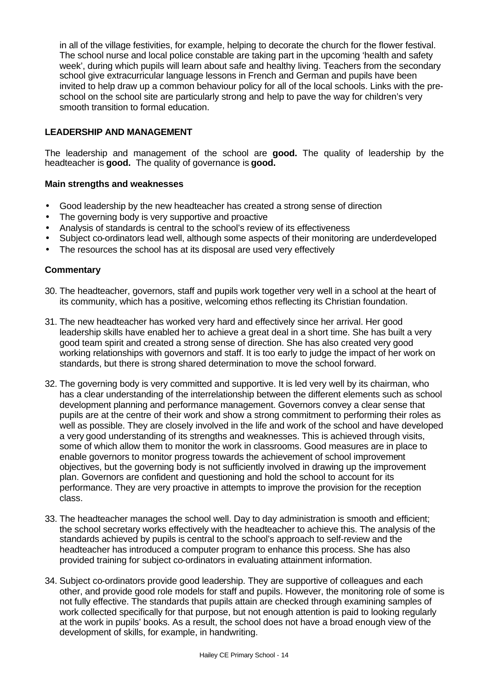in all of the village festivities, for example, helping to decorate the church for the flower festival. The school nurse and local police constable are taking part in the upcoming 'health and safety week', during which pupils will learn about safe and healthy living. Teachers from the secondary school give extracurricular language lessons in French and German and pupils have been invited to help draw up a common behaviour policy for all of the local schools. Links with the preschool on the school site are particularly strong and help to pave the way for children's very smooth transition to formal education.

### **LEADERSHIP AND MANAGEMENT**

The leadership and management of the school are **good.** The quality of leadership by the headteacher is **good.** The quality of governance is **good.**

#### **Main strengths and weaknesses**

- Good leadership by the new headteacher has created a strong sense of direction
- The governing body is very supportive and proactive
- Analysis of standards is central to the school's review of its effectiveness
- Subject co-ordinators lead well, although some aspects of their monitoring are underdeveloped
- The resources the school has at its disposal are used very effectively

- 30. The headteacher, governors, staff and pupils work together very well in a school at the heart of its community, which has a positive, welcoming ethos reflecting its Christian foundation.
- 31. The new headteacher has worked very hard and effectively since her arrival. Her good leadership skills have enabled her to achieve a great deal in a short time. She has built a very good team spirit and created a strong sense of direction. She has also created very good working relationships with governors and staff. It is too early to judge the impact of her work on standards, but there is strong shared determination to move the school forward.
- 32. The governing body is very committed and supportive. It is led very well by its chairman, who has a clear understanding of the interrelationship between the different elements such as school development planning and performance management. Governors convey a clear sense that pupils are at the centre of their work and show a strong commitment to performing their roles as well as possible. They are closely involved in the life and work of the school and have developed a very good understanding of its strengths and weaknesses. This is achieved through visits, some of which allow them to monitor the work in classrooms. Good measures are in place to enable governors to monitor progress towards the achievement of school improvement objectives, but the governing body is not sufficiently involved in drawing up the improvement plan. Governors are confident and questioning and hold the school to account for its performance. They are very proactive in attempts to improve the provision for the reception class.
- 33. The headteacher manages the school well. Day to day administration is smooth and efficient; the school secretary works effectively with the headteacher to achieve this. The analysis of the standards achieved by pupils is central to the school's approach to self-review and the headteacher has introduced a computer program to enhance this process. She has also provided training for subject co-ordinators in evaluating attainment information.
- 34. Subject co-ordinators provide good leadership. They are supportive of colleagues and each other, and provide good role models for staff and pupils. However, the monitoring role of some is not fully effective. The standards that pupils attain are checked through examining samples of work collected specifically for that purpose, but not enough attention is paid to looking regularly at the work in pupils' books. As a result, the school does not have a broad enough view of the development of skills, for example, in handwriting.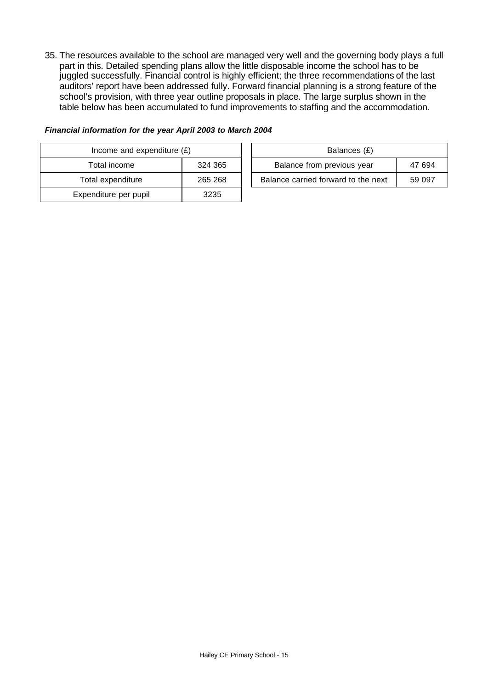35. The resources available to the school are managed very well and the governing body plays a full part in this. Detailed spending plans allow the little disposable income the school has to be juggled successfully. Financial control is highly efficient; the three recommendations of the last auditors' report have been addressed fully. Forward financial planning is a strong feature of the school's provision, with three year outline proposals in place. The large surplus shown in the table below has been accumulated to fund improvements to staffing and the accommodation.

| Income and expenditure $(E)$ |         |  | Balances (£)                   |
|------------------------------|---------|--|--------------------------------|
| Total income                 | 324 365 |  | Balance from previous year     |
| Total expenditure            | 265 268 |  | Balance carried forward to the |
| Expenditure per pupil        | 3235    |  |                                |

| Financial information for the year April 2003 to March 2004 |  |  |  |
|-------------------------------------------------------------|--|--|--|
|-------------------------------------------------------------|--|--|--|

| Income and expenditure $(E)$ |         | Balances (£)                        |        |
|------------------------------|---------|-------------------------------------|--------|
| Total income                 | 324 365 | Balance from previous year          | 47 694 |
| Total expenditure            | 265 268 | Balance carried forward to the next | 59 097 |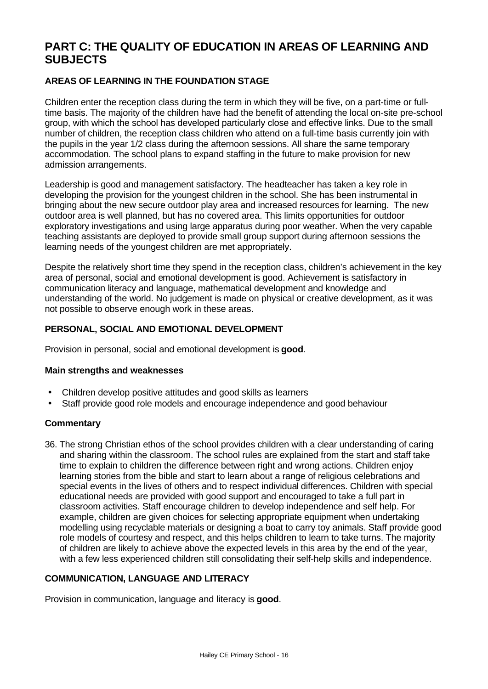# **PART C: THE QUALITY OF EDUCATION IN AREAS OF LEARNING AND SUBJECTS**

# **AREAS OF LEARNING IN THE FOUNDATION STAGE**

Children enter the reception class during the term in which they will be five, on a part-time or fulltime basis. The majority of the children have had the benefit of attending the local on-site pre-school group, with which the school has developed particularly close and effective links. Due to the small number of children, the reception class children who attend on a full-time basis currently join with the pupils in the year 1/2 class during the afternoon sessions. All share the same temporary accommodation. The school plans to expand staffing in the future to make provision for new admission arrangements.

Leadership is good and management satisfactory. The headteacher has taken a key role in developing the provision for the youngest children in the school. She has been instrumental in bringing about the new secure outdoor play area and increased resources for learning. The new outdoor area is well planned, but has no covered area. This limits opportunities for outdoor exploratory investigations and using large apparatus during poor weather. When the very capable teaching assistants are deployed to provide small group support during afternoon sessions the learning needs of the youngest children are met appropriately.

Despite the relatively short time they spend in the reception class, children's achievement in the key area of personal, social and emotional development is good. Achievement is satisfactory in communication literacy and language, mathematical development and knowledge and understanding of the world. No judgement is made on physical or creative development, as it was not possible to observe enough work in these areas.

# **PERSONAL, SOCIAL AND EMOTIONAL DEVELOPMENT**

Provision in personal, social and emotional development is **good**.

#### **Main strengths and weaknesses**

- Children develop positive attitudes and good skills as learners
- Staff provide good role models and encourage independence and good behaviour

#### **Commentary**

36. The strong Christian ethos of the school provides children with a clear understanding of caring and sharing within the classroom. The school rules are explained from the start and staff take time to explain to children the difference between right and wrong actions. Children enjoy learning stories from the bible and start to learn about a range of religious celebrations and special events in the lives of others and to respect individual differences. Children with special educational needs are provided with good support and encouraged to take a full part in classroom activities. Staff encourage children to develop independence and self help. For example, children are given choices for selecting appropriate equipment when undertaking modelling using recyclable materials or designing a boat to carry toy animals. Staff provide good role models of courtesy and respect, and this helps children to learn to take turns. The majority of children are likely to achieve above the expected levels in this area by the end of the year, with a few less experienced children still consolidating their self-help skills and independence.

# **COMMUNICATION, LANGUAGE AND LITERACY**

Provision in communication, language and literacy is **good**.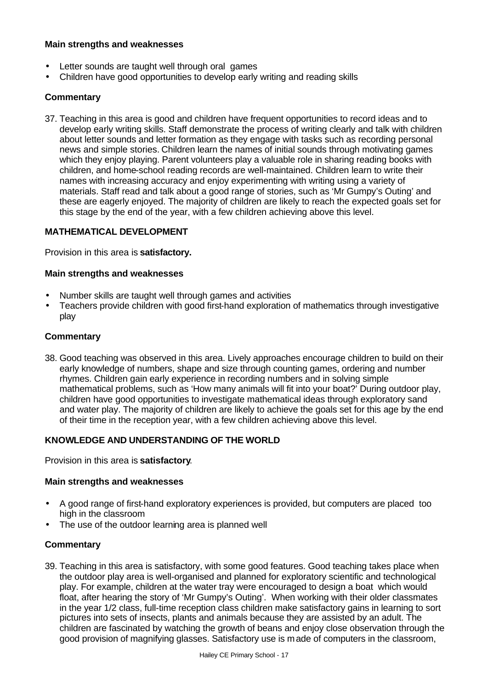### **Main strengths and weaknesses**

- Letter sounds are taught well through oral games
- Children have good opportunities to develop early writing and reading skills

# **Commentary**

37. Teaching in this area is good and children have frequent opportunities to record ideas and to develop early writing skills. Staff demonstrate the process of writing clearly and talk with children about letter sounds and letter formation as they engage with tasks such as recording personal news and simple stories. Children learn the names of initial sounds through motivating games which they enjoy playing. Parent volunteers play a valuable role in sharing reading books with children, and home-school reading records are well-maintained. Children learn to write their names with increasing accuracy and enjoy experimenting with writing using a variety of materials. Staff read and talk about a good range of stories, such as 'Mr Gumpy's Outing' and these are eagerly enjoyed. The majority of children are likely to reach the expected goals set for this stage by the end of the year, with a few children achieving above this level.

#### **MATHEMATICAL DEVELOPMENT**

Provision in this area is **satisfactory.**

#### **Main strengths and weaknesses**

- Number skills are taught well through games and activities
- Teachers provide children with good first-hand exploration of mathematics through investigative play

# **Commentary**

38. Good teaching was observed in this area. Lively approaches encourage children to build on their early knowledge of numbers, shape and size through counting games, ordering and number rhymes. Children gain early experience in recording numbers and in solving simple mathematical problems, such as 'How many animals will fit into your boat?' During outdoor play, children have good opportunities to investigate mathematical ideas through exploratory sand and water play. The majority of children are likely to achieve the goals set for this age by the end of their time in the reception year, with a few children achieving above this level.

#### **KNOWLEDGE AND UNDERSTANDING OF THE WORLD**

Provision in this area is **satisfactory**.

#### **Main strengths and weaknesses**

- A good range of first-hand exploratory experiences is provided, but computers are placed too high in the classroom
- The use of the outdoor learning area is planned well

#### **Commentary**

39. Teaching in this area is satisfactory, with some good features. Good teaching takes place when the outdoor play area is well-organised and planned for exploratory scientific and technological play. For example, children at the water tray were encouraged to design a boat which would float, after hearing the story of 'Mr Gumpy's Outing'. When working with their older classmates in the year 1/2 class, full-time reception class children make satisfactory gains in learning to sort pictures into sets of insects, plants and animals because they are assisted by an adult. The children are fascinated by watching the growth of beans and enjoy close observation through the good provision of magnifying glasses. Satisfactory use is made of computers in the classroom,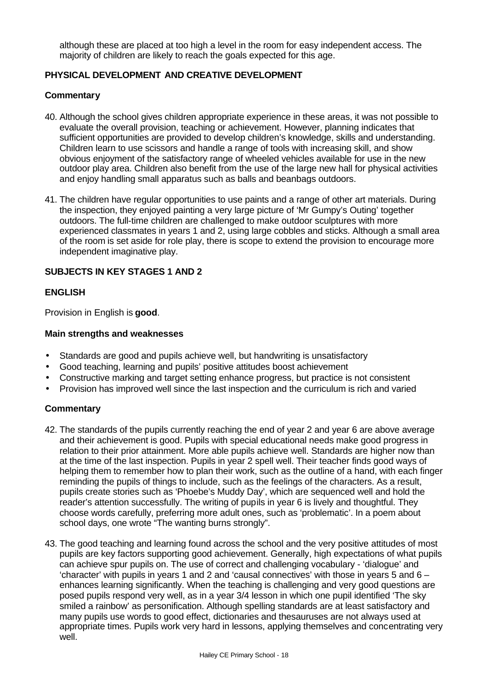although these are placed at too high a level in the room for easy independent access. The majority of children are likely to reach the goals expected for this age.

### **PHYSICAL DEVELOPMENT AND CREATIVE DEVELOPMENT**

#### **Commentary**

- 40. Although the school gives children appropriate experience in these areas, it was not possible to evaluate the overall provision, teaching or achievement. However, planning indicates that sufficient opportunities are provided to develop children's knowledge, skills and understanding. Children learn to use scissors and handle a range of tools with increasing skill, and show obvious enjoyment of the satisfactory range of wheeled vehicles available for use in the new outdoor play area. Children also benefit from the use of the large new hall for physical activities and enjoy handling small apparatus such as balls and beanbags outdoors.
- 41. The children have regular opportunities to use paints and a range of other art materials. During the inspection, they enjoyed painting a very large picture of 'Mr Gumpy's Outing' together outdoors. The full-time children are challenged to make outdoor sculptures with more experienced classmates in years 1 and 2, using large cobbles and sticks. Although a small area of the room is set aside for role play, there is scope to extend the provision to encourage more independent imaginative play.

#### **SUBJECTS IN KEY STAGES 1 AND 2**

#### **ENGLISH**

Provision in English is **good**.

#### **Main strengths and weaknesses**

- Standards are good and pupils achieve well, but handwriting is unsatisfactory
- Good teaching, learning and pupils' positive attitudes boost achievement
- Constructive marking and target setting enhance progress, but practice is not consistent
- Provision has improved well since the last inspection and the curriculum is rich and varied

- 42. The standards of the pupils currently reaching the end of year 2 and year 6 are above average and their achievement is good. Pupils with special educational needs make good progress in relation to their prior attainment. More able pupils achieve well. Standards are higher now than at the time of the last inspection. Pupils in year 2 spell well. Their teacher finds good ways of helping them to remember how to plan their work, such as the outline of a hand, with each finger reminding the pupils of things to include, such as the feelings of the characters. As a result, pupils create stories such as 'Phoebe's Muddy Day', which are sequenced well and hold the reader's attention successfully. The writing of pupils in year 6 is lively and thoughtful. They choose words carefully, preferring more adult ones, such as 'problematic'. In a poem about school days, one wrote "The wanting burns strongly".
- 43. The good teaching and learning found across the school and the very positive attitudes of most pupils are key factors supporting good achievement. Generally, high expectations of what pupils can achieve spur pupils on. The use of correct and challenging vocabulary - 'dialogue' and 'character' with pupils in years 1 and 2 and 'causal connectives' with those in years 5 and  $6$ enhances learning significantly. When the teaching is challenging and very good questions are posed pupils respond very well, as in a year 3/4 lesson in which one pupil identified 'The sky smiled a rainbow' as personification. Although spelling standards are at least satisfactory and many pupils use words to good effect, dictionaries and thesauruses are not always used at appropriate times. Pupils work very hard in lessons, applying themselves and concentrating very well.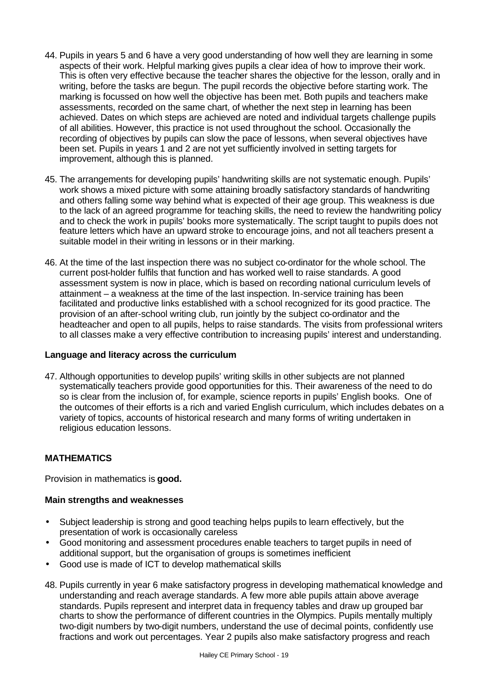- 44. Pupils in years 5 and 6 have a very good understanding of how well they are learning in some aspects of their work. Helpful marking gives pupils a clear idea of how to improve their work. This is often very effective because the teacher shares the objective for the lesson, orally and in writing, before the tasks are begun. The pupil records the objective before starting work. The marking is focussed on how well the objective has been met. Both pupils and teachers make assessments, recorded on the same chart, of whether the next step in learning has been achieved. Dates on which steps are achieved are noted and individual targets challenge pupils of all abilities. However, this practice is not used throughout the school. Occasionally the recording of objectives by pupils can slow the pace of lessons, when several objectives have been set. Pupils in years 1 and 2 are not yet sufficiently involved in setting targets for improvement, although this is planned.
- 45. The arrangements for developing pupils' handwriting skills are not systematic enough. Pupils' work shows a mixed picture with some attaining broadly satisfactory standards of handwriting and others falling some way behind what is expected of their age group. This weakness is due to the lack of an agreed programme for teaching skills, the need to review the handwriting policy and to check the work in pupils' books more systematically. The script taught to pupils does not feature letters which have an upward stroke to encourage joins, and not all teachers present a suitable model in their writing in lessons or in their marking.
- 46. At the time of the last inspection there was no subject co-ordinator for the whole school. The current post-holder fulfils that function and has worked well to raise standards. A good assessment system is now in place, which is based on recording national curriculum levels of attainment – a weakness at the time of the last inspection. In-service training has been facilitated and productive links established with a school recognized for its good practice. The provision of an after-school writing club, run jointly by the subject co-ordinator and the headteacher and open to all pupils, helps to raise standards. The visits from professional writers to all classes make a very effective contribution to increasing pupils' interest and understanding.

#### **Language and literacy across the curriculum**

47. Although opportunities to develop pupils' writing skills in other subjects are not planned systematically teachers provide good opportunities for this. Their awareness of the need to do so is clear from the inclusion of, for example, science reports in pupils' English books. One of the outcomes of their efforts is a rich and varied English curriculum, which includes debates on a variety of topics, accounts of historical research and many forms of writing undertaken in religious education lessons.

# **MATHEMATICS**

Provision in mathematics is **good.**

#### **Main strengths and weaknesses**

- Subject leadership is strong and good teaching helps pupils to learn effectively, but the presentation of work is occasionally careless
- Good monitoring and assessment procedures enable teachers to target pupils in need of additional support, but the organisation of groups is sometimes inefficient
- Good use is made of ICT to develop mathematical skills
- 48. Pupils currently in year 6 make satisfactory progress in developing mathematical knowledge and understanding and reach average standards. A few more able pupils attain above average standards. Pupils represent and interpret data in frequency tables and draw up grouped bar charts to show the performance of different countries in the Olympics. Pupils mentally multiply two-digit numbers by two-digit numbers, understand the use of decimal points, confidently use fractions and work out percentages. Year 2 pupils also make satisfactory progress and reach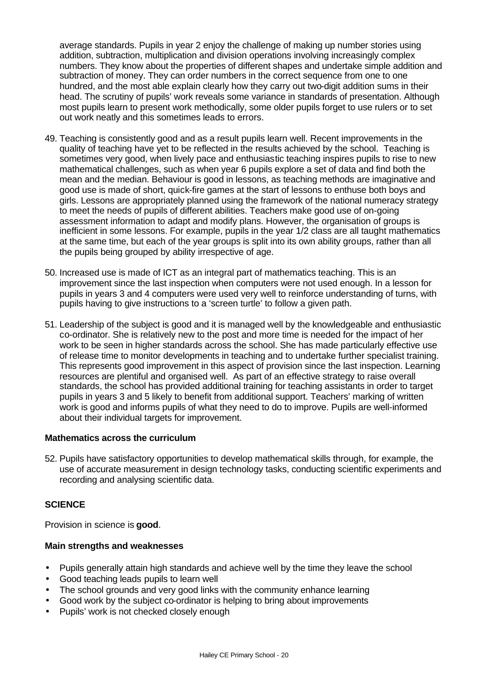average standards. Pupils in year 2 enjoy the challenge of making up number stories using addition, subtraction, multiplication and division operations involving increasingly complex numbers. They know about the properties of different shapes and undertake simple addition and subtraction of money. They can order numbers in the correct sequence from one to one hundred, and the most able explain clearly how they carry out two-digit addition sums in their head. The scrutiny of pupils' work reveals some variance in standards of presentation. Although most pupils learn to present work methodically, some older pupils forget to use rulers or to set out work neatly and this sometimes leads to errors.

- 49. Teaching is consistently good and as a result pupils learn well. Recent improvements in the quality of teaching have yet to be reflected in the results achieved by the school. Teaching is sometimes very good, when lively pace and enthusiastic teaching inspires pupils to rise to new mathematical challenges, such as when year 6 pupils explore a set of data and find both the mean and the median. Behaviour is good in lessons, as teaching methods are imaginative and good use is made of short, quick-fire games at the start of lessons to enthuse both boys and girls. Lessons are appropriately planned using the framework of the national numeracy strategy to meet the needs of pupils of different abilities. Teachers make good use of on-going assessment information to adapt and modify plans. However, the organisation of groups is inefficient in some lessons. For example, pupils in the year 1/2 class are all taught mathematics at the same time, but each of the year groups is split into its own ability groups, rather than all the pupils being grouped by ability irrespective of age.
- 50. Increased use is made of ICT as an integral part of mathematics teaching. This is an improvement since the last inspection when computers were not used enough. In a lesson for pupils in years 3 and 4 computers were used very well to reinforce understanding of turns, with pupils having to give instructions to a 'screen turtle' to follow a given path.
- 51. Leadership of the subject is good and it is managed well by the knowledgeable and enthusiastic co-ordinator. She is relatively new to the post and more time is needed for the impact of her work to be seen in higher standards across the school. She has made particularly effective use of release time to monitor developments in teaching and to undertake further specialist training. This represents good improvement in this aspect of provision since the last inspection. Learning resources are plentiful and organised well. As part of an effective strategy to raise overall standards, the school has provided additional training for teaching assistants in order to target pupils in years 3 and 5 likely to benefit from additional support. Teachers' marking of written work is good and informs pupils of what they need to do to improve. Pupils are well-informed about their individual targets for improvement.

#### **Mathematics across the curriculum**

52. Pupils have satisfactory opportunities to develop mathematical skills through, for example, the use of accurate measurement in design technology tasks, conducting scientific experiments and recording and analysing scientific data.

#### **SCIENCE**

Provision in science is **good**.

#### **Main strengths and weaknesses**

- Pupils generally attain high standards and achieve well by the time they leave the school
- Good teaching leads pupils to learn well
- The school grounds and very good links with the community enhance learning
- Good work by the subject co-ordinator is helping to bring about improvements
- Pupils' work is not checked closely enough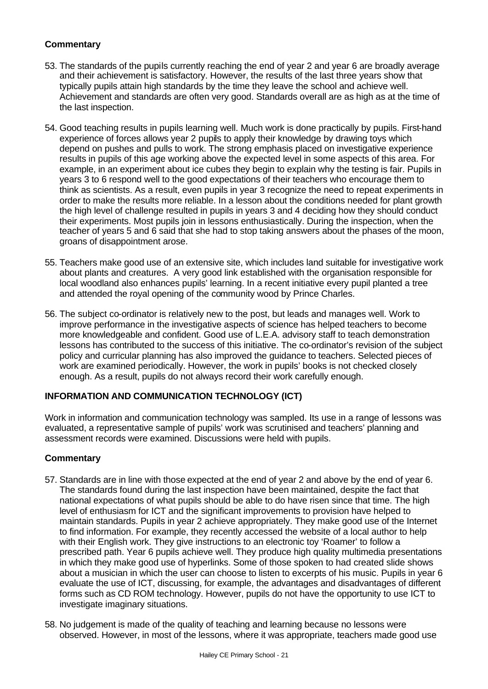- 53. The standards of the pupils currently reaching the end of year 2 and year 6 are broadly average and their achievement is satisfactory. However, the results of the last three years show that typically pupils attain high standards by the time they leave the school and achieve well. Achievement and standards are often very good. Standards overall are as high as at the time of the last inspection.
- 54. Good teaching results in pupils learning well. Much work is done practically by pupils. First-hand experience of forces allows year 2 pupils to apply their knowledge by drawing toys which depend on pushes and pulls to work. The strong emphasis placed on investigative experience results in pupils of this age working above the expected level in some aspects of this area. For example, in an experiment about ice cubes they begin to explain why the testing is fair. Pupils in years 3 to 6 respond well to the good expectations of their teachers who encourage them to think as scientists. As a result, even pupils in year 3 recognize the need to repeat experiments in order to make the results more reliable. In a lesson about the conditions needed for plant growth the high level of challenge resulted in pupils in years 3 and 4 deciding how they should conduct their experiments. Most pupils join in lessons enthusiastically. During the inspection, when the teacher of years 5 and 6 said that she had to stop taking answers about the phases of the moon, groans of disappointment arose.
- 55. Teachers make good use of an extensive site, which includes land suitable for investigative work about plants and creatures. A very good link established with the organisation responsible for local woodland also enhances pupils' learning. In a recent initiative every pupil planted a tree and attended the royal opening of the community wood by Prince Charles.
- 56. The subject co-ordinator is relatively new to the post, but leads and manages well. Work to improve performance in the investigative aspects of science has helped teachers to become more knowledgeable and confident. Good use of L.E.A. advisory staff to teach demonstration lessons has contributed to the success of this initiative. The co-ordinator's revision of the subject policy and curricular planning has also improved the guidance to teachers. Selected pieces of work are examined periodically. However, the work in pupils' books is not checked closely enough. As a result, pupils do not always record their work carefully enough.

#### **INFORMATION AND COMMUNICATION TECHNOLOGY (ICT)**

Work in information and communication technology was sampled. Its use in a range of lessons was evaluated, a representative sample of pupils' work was scrutinised and teachers' planning and assessment records were examined. Discussions were held with pupils.

- 57. Standards are in line with those expected at the end of year 2 and above by the end of year 6. The standards found during the last inspection have been maintained, despite the fact that national expectations of what pupils should be able to do have risen since that time. The high level of enthusiasm for ICT and the significant improvements to provision have helped to maintain standards. Pupils in year 2 achieve appropriately. They make good use of the Internet to find information. For example, they recently accessed the website of a local author to help with their English work. They give instructions to an electronic toy 'Roamer' to follow a prescribed path. Year 6 pupils achieve well. They produce high quality multimedia presentations in which they make good use of hyperlinks. Some of those spoken to had created slide shows about a musician in which the user can choose to listen to excerpts of his music. Pupils in year 6 evaluate the use of ICT, discussing, for example, the advantages and disadvantages of different forms such as CD ROM technology. However, pupils do not have the opportunity to use ICT to investigate imaginary situations.
- 58. No judgement is made of the quality of teaching and learning because no lessons were observed. However, in most of the lessons, where it was appropriate, teachers made good use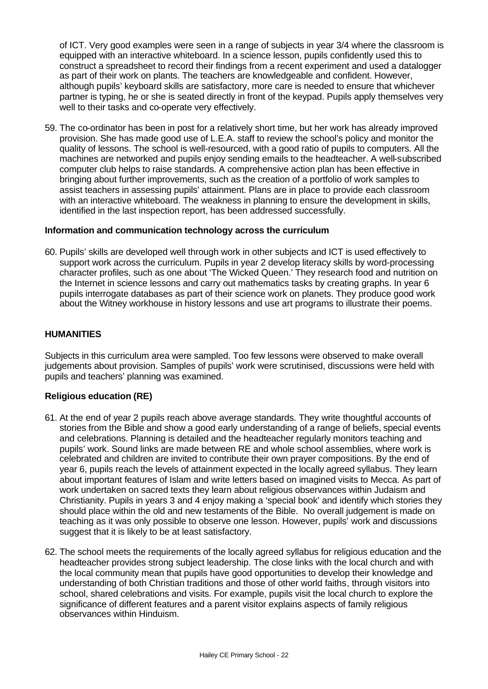of ICT. Very good examples were seen in a range of subjects in year 3/4 where the classroom is equipped with an interactive whiteboard. In a science lesson, pupils confidently used this to construct a spreadsheet to record their findings from a recent experiment and used a datalogger as part of their work on plants. The teachers are knowledgeable and confident. However, although pupils' keyboard skills are satisfactory, more care is needed to ensure that whichever partner is typing, he or she is seated directly in front of the keypad. Pupils apply themselves very well to their tasks and co-operate very effectively.

59. The co-ordinator has been in post for a relatively short time, but her work has already improved provision. She has made good use of L.E.A. staff to review the school's policy and monitor the quality of lessons. The school is well-resourced, with a good ratio of pupils to computers. All the machines are networked and pupils enjoy sending emails to the headteacher. A well-subscribed computer club helps to raise standards. A comprehensive action plan has been effective in bringing about further improvements, such as the creation of a portfolio of work samples to assist teachers in assessing pupils' attainment. Plans are in place to provide each classroom with an interactive whiteboard. The weakness in planning to ensure the development in skills, identified in the last inspection report, has been addressed successfully.

#### **Information and communication technology across the curriculum**

60. Pupils' skills are developed well through work in other subjects and ICT is used effectively to support work across the curriculum. Pupils in year 2 develop literacy skills by word-processing character profiles, such as one about 'The Wicked Queen.' They research food and nutrition on the Internet in science lessons and carry out mathematics tasks by creating graphs. In year 6 pupils interrogate databases as part of their science work on planets. They produce good work about the Witney workhouse in history lessons and use art programs to illustrate their poems.

#### **HUMANITIES**

Subjects in this curriculum area were sampled. Too few lessons were observed to make overall judgements about provision. Samples of pupils' work were scrutinised, discussions were held with pupils and teachers' planning was examined.

#### **Religious education (RE)**

- 61. At the end of year 2 pupils reach above average standards. They write thoughtful accounts of stories from the Bible and show a good early understanding of a range of beliefs, special events and celebrations. Planning is detailed and the headteacher regularly monitors teaching and pupils' work. Sound links are made between RE and whole school assemblies, where work is celebrated and children are invited to contribute their own prayer compositions. By the end of year 6, pupils reach the levels of attainment expected in the locally agreed syllabus. They learn about important features of Islam and write letters based on imagined visits to Mecca. As part of work undertaken on sacred texts they learn about religious observances within Judaism and Christianity. Pupils in years 3 and 4 enjoy making a 'special book' and identify which stories they should place within the old and new testaments of the Bible. No overall judgement is made on teaching as it was only possible to observe one lesson. However, pupils' work and discussions suggest that it is likely to be at least satisfactory.
- 62. The school meets the requirements of the locally agreed syllabus for religious education and the headteacher provides strong subject leadership. The close links with the local church and with the local community mean that pupils have good opportunities to develop their knowledge and understanding of both Christian traditions and those of other world faiths, through visitors into school, shared celebrations and visits. For example, pupils visit the local church to explore the significance of different features and a parent visitor explains aspects of family religious observances within Hinduism.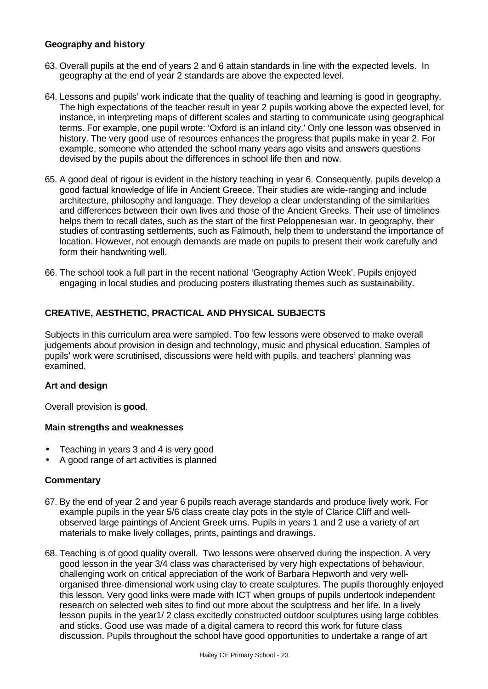#### **Geography and history**

- 63. Overall pupils at the end of years 2 and 6 attain standards in line with the expected levels. In geography at the end of year 2 standards are above the expected level.
- 64. Lessons and pupils' work indicate that the quality of teaching and learning is good in geography. The high expectations of the teacher result in year 2 pupils working above the expected level, for instance, in interpreting maps of different scales and starting to communicate using geographical terms. For example, one pupil wrote: 'Oxford is an inland city.' Only one lesson was observed in history. The very good use of resources enhances the progress that pupils make in year 2. For example, someone who attended the school many years ago visits and answers questions devised by the pupils about the differences in school life then and now.
- 65. A good deal of rigour is evident in the history teaching in year 6. Consequently, pupils develop a good factual knowledge of life in Ancient Greece. Their studies are wide-ranging and include architecture, philosophy and language. They develop a clear understanding of the similarities and differences between their own lives and those of the Ancient Greeks. Their use of timelines helps them to recall dates, such as the start of the first Peloppenesian war. In geography, their studies of contrasting settlements, such as Falmouth, help them to understand the importance of location. However, not enough demands are made on pupils to present their work carefully and form their handwriting well.
- 66. The school took a full part in the recent national 'Geography Action Week'. Pupils enjoyed engaging in local studies and producing posters illustrating themes such as sustainability.

# **CREATIVE, AESTHETIC, PRACTICAL AND PHYSICAL SUBJECTS**

Subjects in this curriculum area were sampled. Too few lessons were observed to make overall judgements about provision in design and technology, music and physical education. Samples of pupils' work were scrutinised, discussions were held with pupils, and teachers' planning was examined.

#### **Art and design**

Overall provision is **good**.

#### **Main strengths and weaknesses**

- Teaching in years 3 and 4 is very good
- A good range of art activities is planned

- 67. By the end of year 2 and year 6 pupils reach average standards and produce lively work. For example pupils in the year 5/6 class create clay pots in the style of Clarice Cliff and wellobserved large paintings of Ancient Greek urns. Pupils in years 1 and 2 use a variety of art materials to make lively collages, prints, paintings and drawings.
- 68. Teaching is of good quality overall. Two lessons were observed during the inspection. A very good lesson in the year 3/4 class was characterised by very high expectations of behaviour, challenging work on critical appreciation of the work of Barbara Hepworth and very wellorganised three-dimensional work using clay to create sculptures. The pupils thoroughly enjoyed this lesson. Very good links were made with ICT when groups of pupils undertook independent research on selected web sites to find out more about the sculptress and her life. In a lively lesson pupils in the year1/ 2 class excitedly constructed outdoor sculptures using large cobbles and sticks. Good use was made of a digital camera to record this work for future class discussion. Pupils throughout the school have good opportunities to undertake a range of art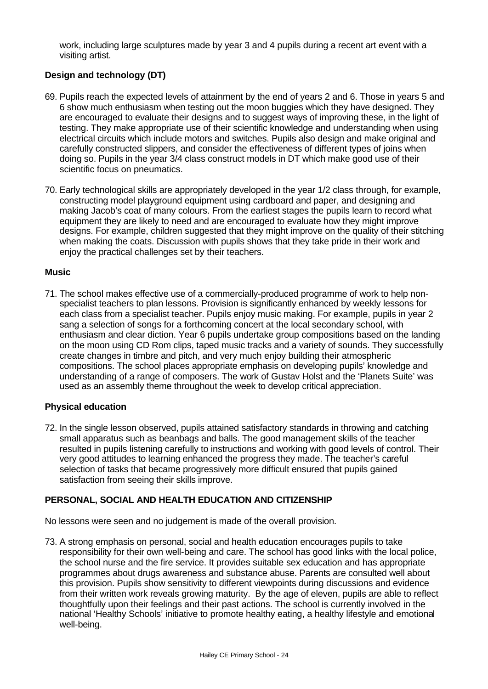work, including large sculptures made by year 3 and 4 pupils during a recent art event with a visiting artist.

# **Design and technology (DT)**

- 69. Pupils reach the expected levels of attainment by the end of years 2 and 6. Those in years 5 and 6 show much enthusiasm when testing out the moon buggies which they have designed. They are encouraged to evaluate their designs and to suggest ways of improving these, in the light of testing. They make appropriate use of their scientific knowledge and understanding when using electrical circuits which include motors and switches. Pupils also design and make original and carefully constructed slippers, and consider the effectiveness of different types of joins when doing so. Pupils in the year 3/4 class construct models in DT which make good use of their scientific focus on pneumatics.
- 70. Early technological skills are appropriately developed in the year 1/2 class through, for example, constructing model playground equipment using cardboard and paper, and designing and making Jacob's coat of many colours. From the earliest stages the pupils learn to record what equipment they are likely to need and are encouraged to evaluate how they might improve designs. For example, children suggested that they might improve on the quality of their stitching when making the coats. Discussion with pupils shows that they take pride in their work and enjoy the practical challenges set by their teachers.

#### **Music**

71. The school makes effective use of a commercially-produced programme of work to help nonspecialist teachers to plan lessons. Provision is significantly enhanced by weekly lessons for each class from a specialist teacher. Pupils enjoy music making. For example, pupils in year 2 sang a selection of songs for a forthcoming concert at the local secondary school, with enthusiasm and clear diction. Year 6 pupils undertake group compositions based on the landing on the moon using CD Rom clips, taped music tracks and a variety of sounds. They successfully create changes in timbre and pitch, and very much enjoy building their atmospheric compositions. The school places appropriate emphasis on developing pupils' knowledge and understanding of a range of composers. The work of Gustav Holst and the 'Planets Suite' was used as an assembly theme throughout the week to develop critical appreciation.

#### **Physical education**

72. In the single lesson observed, pupils attained satisfactory standards in throwing and catching small apparatus such as beanbags and balls. The good management skills of the teacher resulted in pupils listening carefully to instructions and working with good levels of control. Their very good attitudes to learning enhanced the progress they made. The teacher's careful selection of tasks that became progressively more difficult ensured that pupils gained satisfaction from seeing their skills improve.

#### **PERSONAL, SOCIAL AND HEALTH EDUCATION AND CITIZENSHIP**

No lessons were seen and no judgement is made of the overall provision.

73. A strong emphasis on personal, social and health education encourages pupils to take responsibility for their own well-being and care. The school has good links with the local police, the school nurse and the fire service. It provides suitable sex education and has appropriate programmes about drugs awareness and substance abuse. Parents are consulted well about this provision. Pupils show sensitivity to different viewpoints during discussions and evidence from their written work reveals growing maturity. By the age of eleven, pupils are able to reflect thoughtfully upon their feelings and their past actions. The school is currently involved in the national 'Healthy Schools' initiative to promote healthy eating, a healthy lifestyle and emotional well-being.